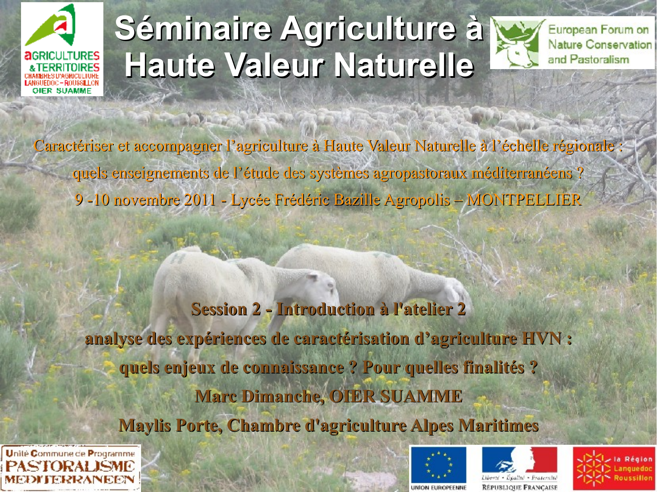

# Séminaire Agriculture à

That a





Caractériser et accompagner l'agriculture à Haute Valeur Naturelle à l'échelle régionale : quels enseignements de l'étude des systèmes agropastoraux méditerranéens ? 9-10 novembre 2011 - Lycée Frédéric Bazille Agropolis - MONTPELLIER

**Session 2 - Introduction à l'atelier 2** analyse des expériences de caractérisation d'agriculture HVN : quels enjeux de connaissance ? Pour quelles finalités ? Marc Dimanche, OIER SUAMME Maylis Porte, Chambre d'agriculture Alpes Maritimes







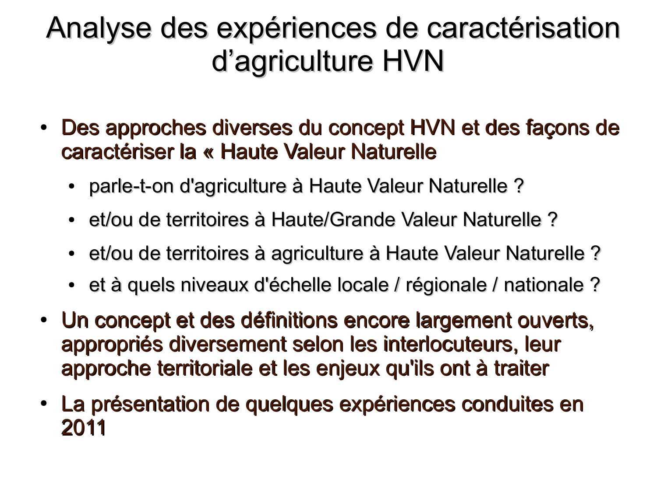### Analyse des expériences de caractérisation d'agriculture HVN

- Des approches diverses du concept HVN et des façons de caractériser la « Haute Valeur Naturelle
	- parle-t-on d'agriculture à Haute Valeur Naturelle ?
	- et/ou de territoires à Haute/Grande Valeur Naturelle ?
	- et/ou de territoires à agriculture à Haute Valeur Naturelle ?
	- et à quels niveaux d'échelle locale / régionale / nationale ?
- · Un concept et des définitions encore largement ouverts, appropriés diversement selon les interlocuteurs, leur approche territoriale et les enjeux qu'ils ont à traiter
- La présentation de quelques expériences conduites en 2011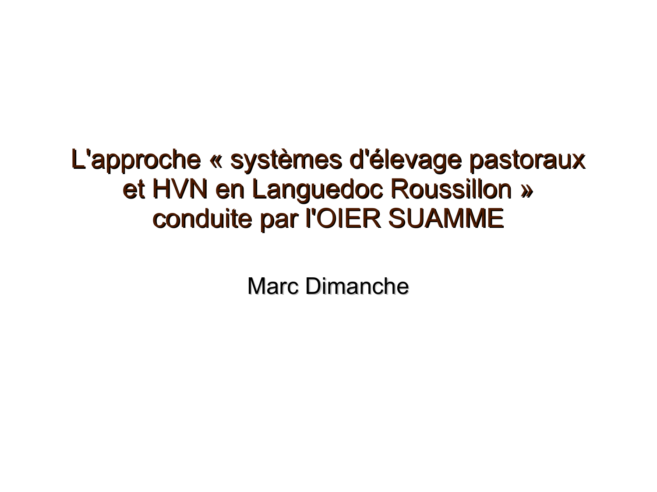#### L'approche « systèmes d'élevage pastoraux et HVN en Languedoc Roussillon » conduite par l'OIER SUAMME

**Marc Dimanche**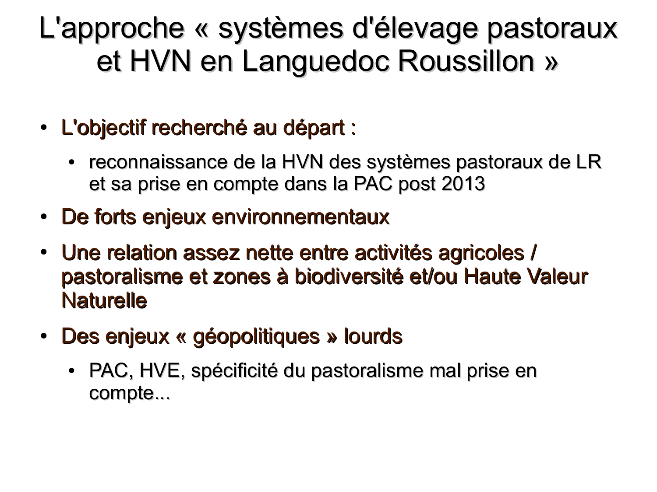#### L'approche « systèmes d'élevage pastoraux et HVN en Languedoc Roussillon »

- L'objectif recherché au départ :
	- reconnaissance de la HVN des systèmes pastoraux de LR  $\bullet$ et sa prise en compte dans la PAC post 2013
- De forts enjeux environnementaux
- Une relation assez nette entre activités agricoles / pastoralisme et zones à biodiversité et/ou Haute Valeur **Naturelle**
- Des enjeux « géopolitiques » lourds
	- PAC, HVE, spécificité du pastoralisme mal prise en compte...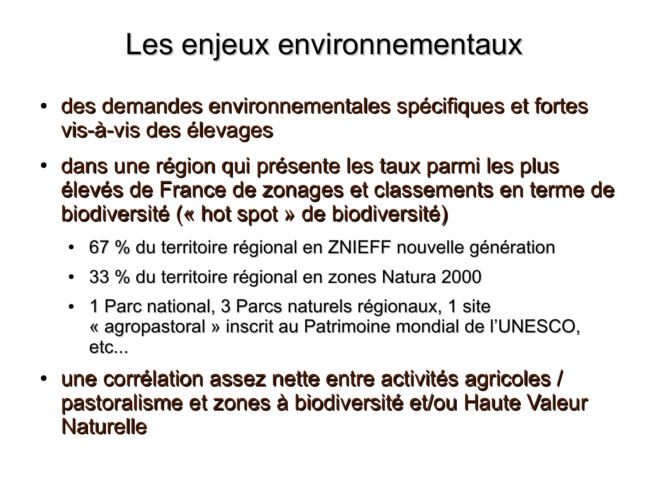#### Les enjeux environnementaux

- · des demandes environnementales spécifiques et fortes vis-à-vis des élevages
- · dans une région qui présente les taux parmi les plus élevés de France de zonages et classements en terme de biodiversité (« hot spot » de biodiversité)
	- 67 % du territoire régional en ZNIEFF nouvelle génération
	- 33 % du territoire régional en zones Natura 2000
	- 1 Parc national, 3 Parcs naturels régionaux, 1 site « agropastoral » inscrit au Patrimoine mondial de l'UNESCO,  $etc...$
- une corrélation assez nette entre activités agricoles / pastoralisme et zones à biodiversité et/ou Haute Valeur **Naturelle**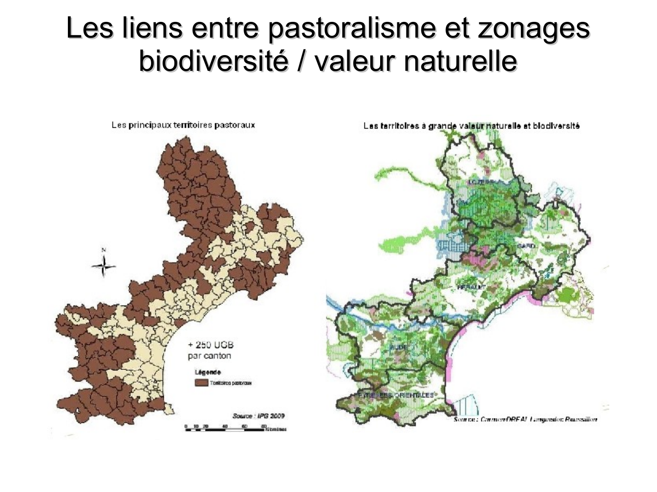#### Les liens entre pastoralisme et zonages biodiversité / valeur naturelle

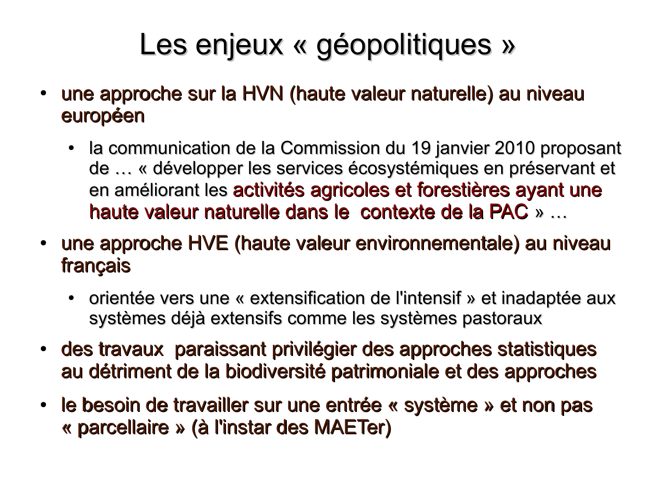# Les enjeux « géopolitiques »

- une approche sur la HVN (haute valeur naturelle) au niveau européen
	- la communication de la Commission du 19 janvier 2010 proposant de ... « développer les services écosystémiques en préservant et en améliorant les activités agricoles et forestières avant une haute valeur naturelle dans le contexte de la PAC » ...
- une approche HVE (haute valeur environnementale) au niveau français
	- orientée vers une « extensification de l'intensif » et inadaptée aux systèmes déjà extensifs comme les systèmes pastoraux
- · des travaux paraissant privilégier des approches statistiques au détriment de la biodiversité patrimoniale et des approches
- · le besoin de travailler sur une entrée « système » et non pas « parcellaire » (à l'instar des MAETer)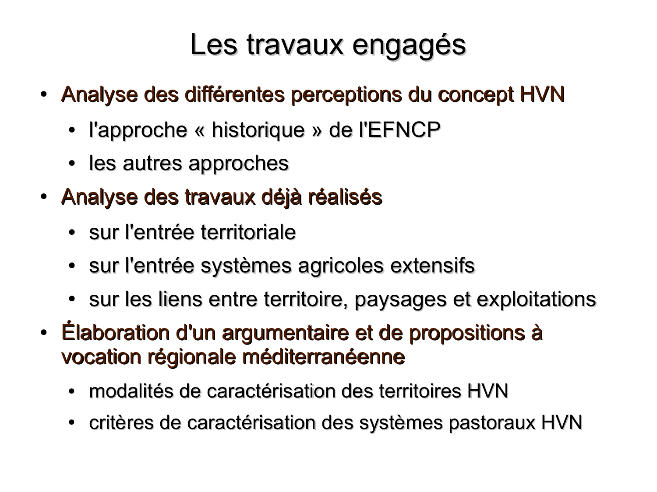### Les travaux engagés

- Analyse des différentes perceptions du concept HVN
	- l'approche « historique » de l'EFNCP
	- les autres approches
- · Analyse des travaux déjà réalisés
	- sur l'entrée territoriale
	- sur l'entrée systèmes agricoles extensifs
	- sur les liens entre territoire, paysages et exploitations
- Élaboration d'un argumentaire et de propositions à vocation régionale méditerranéenne
	- modalités de caractérisation des territoires HVN  $\bullet$
	- critères de caractérisation des systèmes pastoraux HVN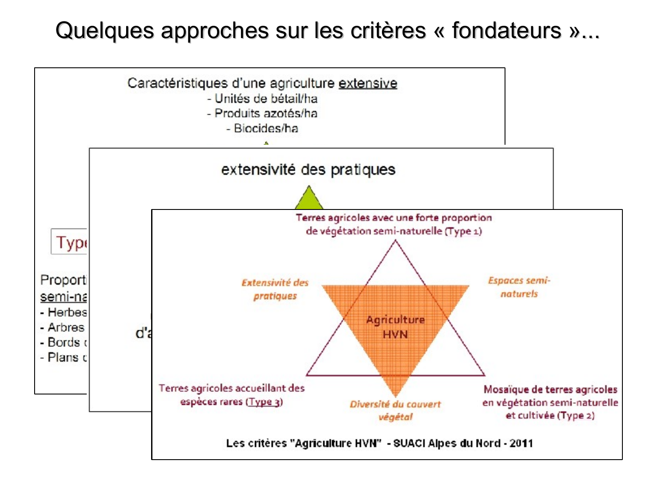#### Quelques approches sur les critères « fondateurs »...

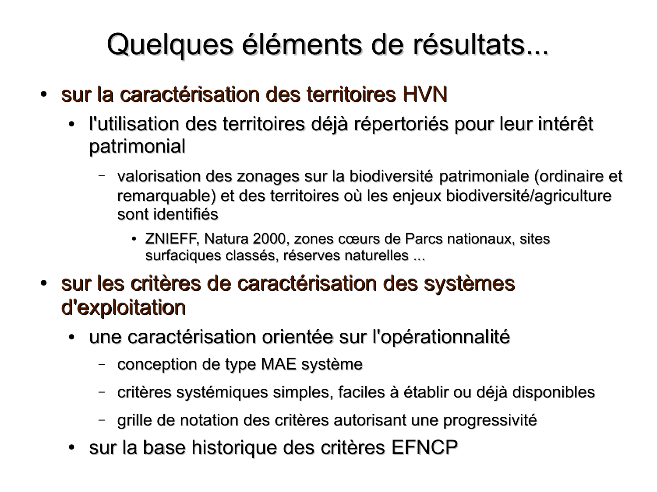## Quelques éléments de résultats...

- · sur la caractérisation des territoires HVN
	- l'utilisation des territoires déjà répertoriés pour leur intérêt  $\bullet$ patrimonial
		- valorisation des zonages sur la biodiversité patrimoniale (ordinaire et remarquable) et des territoires où les enjeux biodiversité/agriculture sont identifiés
			- ZNIEFF, Natura 2000, zones cœurs de Parcs nationaux, sites surfaciques classés, réserves naturelles ...
- sur les critères de caractérisation des systèmes d'exploitation
	- une caractérisation orientée sur l'opérationnalité  $\bullet$ 
		- conception de type MAE système
		- critères systémiques simples, faciles à établir ou déjà disponibles
		- grille de notation des critères autorisant une progressivité
	- sur la base historique des critères EFNCP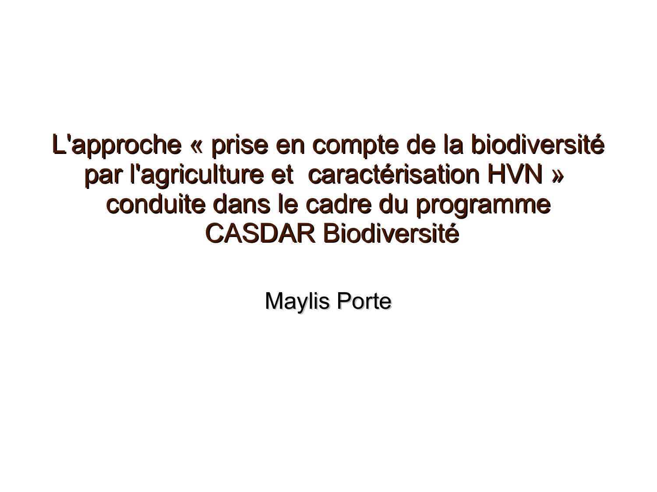#### L'approche « prise en compte de la biodiversité par l'agriculture et caractérisation HVN » conduite dans le cadre du programme **CASDAR Biodiversité**

**Maylis Porte**